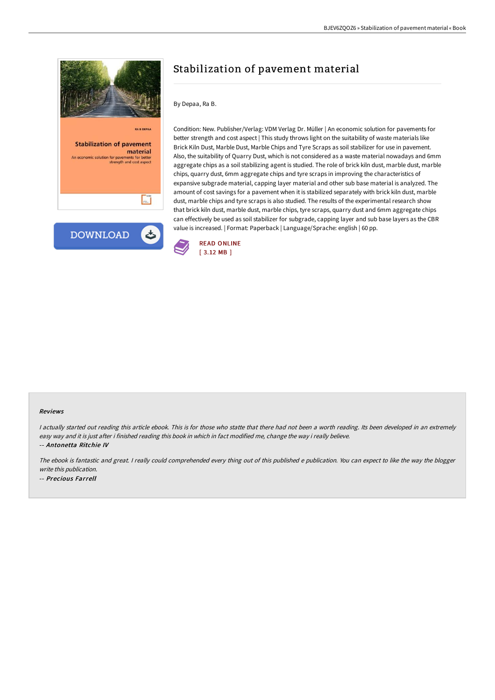

# Stabilization of pavement material

#### By Depaa, Ra B.

Condition: New. Publisher/Verlag: VDM Verlag Dr. Müller | An economic solution for pavements for better strength and cost aspect | This study throws light on the suitability of waste materials like Brick Kiln Dust, Marble Dust, Marble Chips and Tyre Scraps as soil stabilizer for use in pavement. Also, the suitability of Quarry Dust, which is not considered as a waste material nowadays and 6mm aggregate chips as a soil stabilizing agent is studied. The role of brick kiln dust, marble dust, marble chips, quarry dust, 6mm aggregate chips and tyre scraps in improving the characteristics of expansive subgrade material, capping layer material and other sub base material is analyzed. The amount of cost savings for a pavement when it is stabilized separately with brick kiln dust, marble dust, marble chips and tyre scraps is also studied. The results of the experimental research show that brick kiln dust, marble dust, marble chips, tyre scraps, quarry dust and 6mm aggregate chips can effectively be used as soil stabilizer for subgrade, capping layer and sub base layers as the CBR value is increased. | Format: Paperback | Language/Sprache: english | 60 pp.



#### Reviews

I actually started out reading this article ebook. This is for those who statte that there had not been a worth reading. Its been developed in an extremely easy way and it is just after i finished reading this book in which in fact modified me, change the way i really believe. -- Antonetta Ritchie IV

The ebook is fantastic and great. <sup>I</sup> really could comprehended every thing out of this published <sup>e</sup> publication. You can expect to like the way the blogger write this publication. -- Precious Farrell